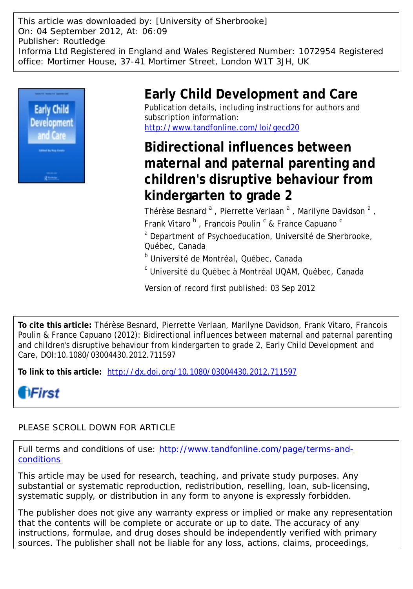This article was downloaded by: [University of Sherbrooke] On: 04 September 2012, At: 06:09 Publisher: Routledge Informa Ltd Registered in England and Wales Registered Number: 1072954 Registered office: Mortimer House, 37-41 Mortimer Street, London W1T 3JH, UK



# **Early Child Development and Care**

Publication details, including instructions for authors and subscription information: <http://www.tandfonline.com/loi/gecd20>

# **Bidirectional influences between maternal and paternal parenting and children's disruptive behaviour from kindergarten to grade 2**

Thérèse Besnard<sup>a</sup>, Pierrette Verlaan<sup>a</sup>, Marilyne Davidson<sup>a</sup>, Frank Vitaro<sup>b</sup>, Francois Poulin<sup>c</sup> & France Capuano<sup>c</sup> <sup>a</sup> Department of Psychoeducation, Université de Sherbrooke, Québec, Canada

b Université de Montréal, Québec, Canada

<sup>c</sup> Université du Québec à Montréal UQAM, Québec, Canada

Version of record first published: 03 Sep 2012

**To cite this article:** Thérèse Besnard, Pierrette Verlaan, Marilyne Davidson, Frank Vitaro, Francois Poulin & France Capuano (2012): Bidirectional influences between maternal and paternal parenting and children's disruptive behaviour from kindergarten to grade 2, Early Child Development and Care, DOI:10.1080/03004430.2012.711597

**To link to this article:** <http://dx.doi.org/10.1080/03004430.2012.711597>



## PLEASE SCROLL DOWN FOR ARTICLE

Full terms and conditions of use: [http://www.tandfonline.com/page/terms-and](http://www.tandfonline.com/page/terms-and-conditions)[conditions](http://www.tandfonline.com/page/terms-and-conditions)

This article may be used for research, teaching, and private study purposes. Any substantial or systematic reproduction, redistribution, reselling, loan, sub-licensing, systematic supply, or distribution in any form to anyone is expressly forbidden.

The publisher does not give any warranty express or implied or make any representation that the contents will be complete or accurate or up to date. The accuracy of any instructions, formulae, and drug doses should be independently verified with primary sources. The publisher shall not be liable for any loss, actions, claims, proceedings,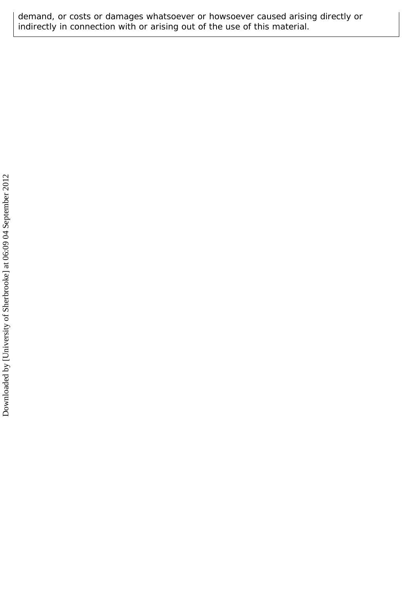demand, or costs or damages whatsoever or howsoever caused arising directly or indirectly in connection with or arising out of the use of this material.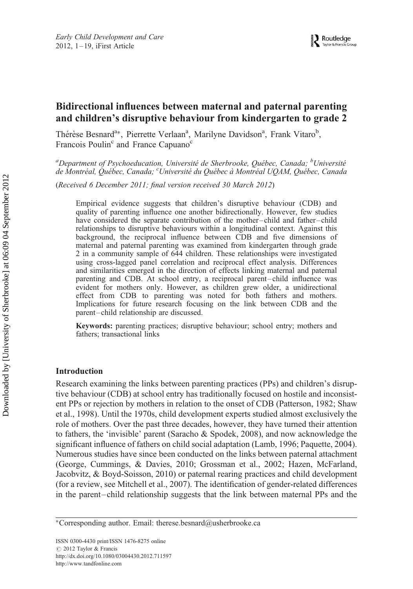## Bidirectional influences between maternal and paternal parenting and children's disruptive behaviour from kindergarten to grade 2

Thérèse Besnard<sup>a∗</sup>, Pierrette Verlaan<sup>a</sup>, Marilyne Davidson<sup>a</sup>, Frank Vitaro<sup>b</sup>, Francois Poulin<sup>c</sup> and France Capuano<sup>c</sup>

<sup>a</sup>Department of Psychoeducation, Université de Sherbrooke, Québec, Canada; <sup>b</sup>Université de Montréal, Québec, Canada; <sup>c</sup>Université du Québec à Montréal UQAM, Québec, Canada

(Received 6 December 2011; final version received 30 March 2012)

Empirical evidence suggests that children's disruptive behaviour (CDB) and quality of parenting influence one another bidirectionally. However, few studies have considered the separate contribution of the mother–child and father–child relationships to disruptive behaviours within a longitudinal context. Against this background, the reciprocal influence between CDB and five dimensions of maternal and paternal parenting was examined from kindergarten through grade 2 in a community sample of 644 children. These relationships were investigated using cross-lagged panel correlation and reciprocal effect analysis. Differences and similarities emerged in the direction of effects linking maternal and paternal parenting and CDB. At school entry, a reciprocal parent–child influence was evident for mothers only. However, as children grew older, a unidirectional effect from CDB to parenting was noted for both fathers and mothers. Implications for future research focusing on the link between CDB and the parent–child relationship are discussed.

Keywords: parenting practices; disruptive behaviour; school entry; mothers and fathers; transactional links

## Introduction

Research examining the links between parenting practices (PPs) and children's disruptive behaviour (CDB) at school entry has traditionally focused on hostile and inconsistent PPs or rejection by mothers in relation to the onset of CDB (Patterson, 1982; Shaw et al., 1998). Until the 1970s, child development experts studied almost exclusively the role of mothers. Over the past three decades, however, they have turned their attention to fathers, the 'invisible' parent (Saracho & Spodek, 2008), and now acknowledge the significant influence of fathers on child social adaptation (Lamb, 1996; Paquette, 2004). Numerous studies have since been conducted on the links between paternal attachment (George, Cummings, & Davies, 2010; Grossman et al., 2002; Hazen, McFarland, Jacobvitz, & Boyd-Soisson, 2010) or paternal rearing practices and child development (for a review, see Mitchell et al., 2007). The identification of gender-related differences in the parent–child relationship suggests that the link between maternal PPs and the

<sup>∗</sup>Corresponding author. Email: therese.besnard@usherbrooke.ca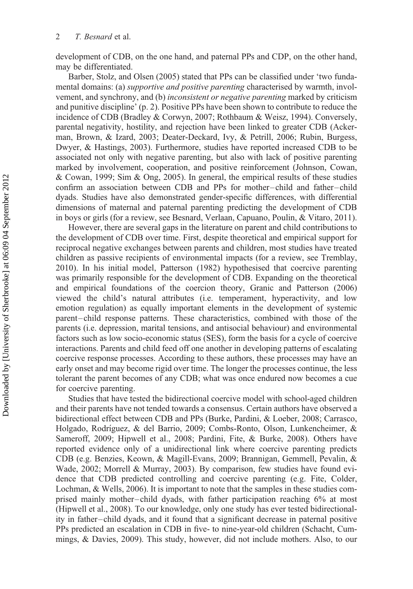development of CDB, on the one hand, and paternal PPs and CDP, on the other hand, may be differentiated.

Barber, Stolz, and Olsen (2005) stated that PPs can be classified under 'two fundamental domains: (a) *supportive and positive parenting* characterised by warmth, involvement, and synchrony, and (b) inconsistent or negative parenting marked by criticism and punitive discipline' (p. 2). Positive PPs have been shown to contribute to reduce the incidence of CDB (Bradley & Corwyn, 2007; Rothbaum & Weisz, 1994). Conversely, parental negativity, hostility, and rejection have been linked to greater CDB (Ackerman, Brown, & Izard, 2003; Deater-Deckard, Ivy, & Petrill, 2006; Rubin, Burgess, Dwyer, & Hastings, 2003). Furthermore, studies have reported increased CDB to be associated not only with negative parenting, but also with lack of positive parenting marked by involvement, cooperation, and positive reinforcement (Johnson, Cowan, & Cowan, 1999; Sim & Ong, 2005). In general, the empirical results of these studies confirm an association between CDB and PPs for mother–child and father–child dyads. Studies have also demonstrated gender-specific differences, with differential dimensions of maternal and paternal parenting predicting the development of CDB in boys or girls (for a review, see Besnard, Verlaan, Capuano, Poulin, & Vitaro, 2011).

However, there are several gaps in the literature on parent and child contributions to the development of CDB over time. First, despite theoretical and empirical support for reciprocal negative exchanges between parents and children, most studies have treated children as passive recipients of environmental impacts (for a review, see Tremblay, 2010). In his initial model, Patterson (1982) hypothesised that coercive parenting was primarily responsible for the development of CDB. Expanding on the theoretical and empirical foundations of the coercion theory, Granic and Patterson (2006) viewed the child's natural attributes (i.e. temperament, hyperactivity, and low emotion regulation) as equally important elements in the development of systemic parent–child response patterns. These characteristics, combined with those of the parents (i.e. depression, marital tensions, and antisocial behaviour) and environmental factors such as low socio-economic status (SES), form the basis for a cycle of coercive interactions. Parents and child feed off one another in developing patterns of escalating coercive response processes. According to these authors, these processes may have an early onset and may become rigid over time. The longer the processes continue, the less tolerant the parent becomes of any CDB; what was once endured now becomes a cue for coercive parenting.

Studies that have tested the bidirectional coercive model with school-aged children and their parents have not tended towards a consensus. Certain authors have observed a bidirectional effect between CDB and PPs (Burke, Pardini, & Loeber, 2008; Carrasco, Holgado, Rodríguez, & del Barrio, 2009; Combs-Ronto, Olson, Lunkencheimer, & Sameroff, 2009; Hipwell et al., 2008; Pardini, Fite, & Burke, 2008). Others have reported evidence only of a unidirectional link where coercive parenting predicts CDB (e.g. Benzies, Keown, & Magill-Evans, 2009; Brannigan, Gemmell, Pevalin, & Wade, 2002; Morrell & Murray, 2003). By comparison, few studies have found evidence that CDB predicted controlling and coercive parenting (e.g. Fite, Colder, Lochman, & Wells, 2006). It is important to note that the samples in these studies comprised mainly mother–child dyads, with father participation reaching 6% at most (Hipwell et al., 2008). To our knowledge, only one study has ever tested bidirectionality in father–child dyads, and it found that a significant decrease in paternal positive PPs predicted an escalation in CDB in five- to nine-year-old children (Schacht, Cummings, & Davies, 2009). This study, however, did not include mothers. Also, to our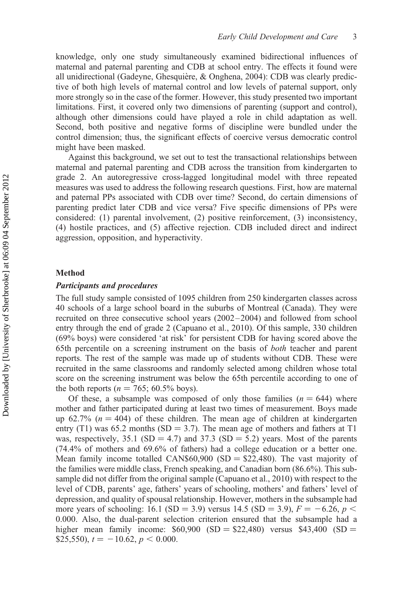knowledge, only one study simultaneously examined bidirectional influences of maternal and paternal parenting and CDB at school entry. The effects it found were all unidirectional (Gadeyne, Ghesquière, & Onghena, 2004): CDB was clearly predictive of both high levels of maternal control and low levels of paternal support, only more strongly so in the case of the former. However, this study presented two important limitations. First, it covered only two dimensions of parenting (support and control), although other dimensions could have played a role in child adaptation as well. Second, both positive and negative forms of discipline were bundled under the control dimension; thus, the significant effects of coercive versus democratic control might have been masked.

Against this background, we set out to test the transactional relationships between maternal and paternal parenting and CDB across the transition from kindergarten to grade 2. An autoregressive cross-lagged longitudinal model with three repeated measures was used to address the following research questions. First, how are maternal and paternal PPs associated with CDB over time? Second, do certain dimensions of parenting predict later CDB and vice versa? Five specific dimensions of PPs were considered: (1) parental involvement, (2) positive reinforcement, (3) inconsistency, (4) hostile practices, and (5) affective rejection. CDB included direct and indirect aggression, opposition, and hyperactivity.

#### Method

#### Participants and procedures

The full study sample consisted of 1095 children from 250 kindergarten classes across 40 schools of a large school board in the suburbs of Montreal (Canada). They were recruited on three consecutive school years (2002–2004) and followed from school entry through the end of grade 2 (Capuano et al., 2010). Of this sample, 330 children (69% boys) were considered 'at risk' for persistent CDB for having scored above the 65th percentile on a screening instrument on the basis of both teacher and parent reports. The rest of the sample was made up of students without CDB. These were recruited in the same classrooms and randomly selected among children whose total score on the screening instrument was below the 65th percentile according to one of the both reports ( $n = 765$ ; 60.5% boys).

Of these, a subsample was composed of only those families  $(n = 644)$  where mother and father participated during at least two times of measurement. Boys made up 62.7% ( $n = 404$ ) of these children. The mean age of children at kindergarten entry (T1) was 65.2 months (SD = 3.7). The mean age of mothers and fathers at T1 was, respectively, 35.1 (SD = 4.7) and 37.3 (SD = 5.2) years. Most of the parents (74.4% of mothers and 69.6% of fathers) had a college education or a better one. Mean family income totalled CAN\$60,900 (SD = \$22,480). The vast majority of the families were middle class, French speaking, and Canadian born (86.6%). This subsample did not differ from the original sample (Capuano et al., 2010) with respect to the level of CDB, parents' age, fathers' years of schooling, mothers' and fathers' level of depression, and quality of spousal relationship. However, mothers in the subsample had more years of schooling: 16.1 (SD = 3.9) versus 14.5 (SD = 3.9),  $F = -6.26$ ,  $p <$ 0.000. Also, the dual-parent selection criterion ensured that the subsample had a higher mean family income:  $$60,900$  (SD =  $$22,480$ ) versus  $$43,400$  (SD = \$25,550),  $t = -10.62$ ,  $p < 0.000$ .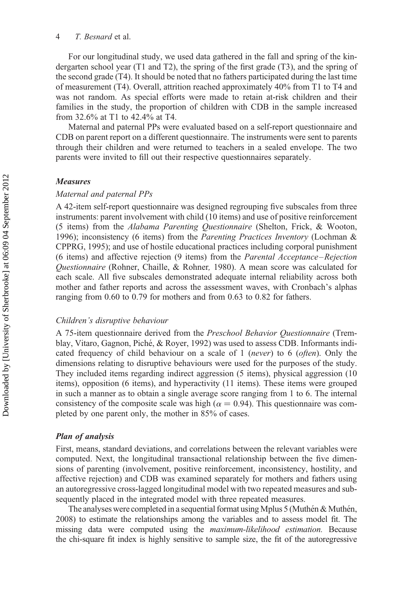For our longitudinal study, we used data gathered in the fall and spring of the kindergarten school year (T1 and T2), the spring of the first grade (T3), and the spring of the second grade (T4). It should be noted that no fathers participated during the last time of measurement (T4). Overall, attrition reached approximately 40% from T1 to T4 and was not random. As special efforts were made to retain at-risk children and their families in the study, the proportion of children with CDB in the sample increased from 32.6% at T1 to 42.4% at T4.

Maternal and paternal PPs were evaluated based on a self-report questionnaire and CDB on parent report on a different questionnaire. The instruments were sent to parents through their children and were returned to teachers in a sealed envelope. The two parents were invited to fill out their respective questionnaires separately.

## Measures

#### Maternal and paternal PPs

A 42-item self-report questionnaire was designed regrouping five subscales from three instruments: parent involvement with child (10 items) and use of positive reinforcement (5 items) from the Alabama Parenting Questionnaire (Shelton, Frick, & Wooton, 1996); inconsistency (6 items) from the *Parenting Practices Inventory* (Lochman & CPPRG, 1995); and use of hostile educational practices including corporal punishment (6 items) and affective rejection (9 items) from the Parental Acceptance–Rejection Questionnaire (Rohner, Chaille, & Rohner, 1980). A mean score was calculated for each scale. All five subscales demonstrated adequate internal reliability across both mother and father reports and across the assessment waves, with Cronbach's alphas ranging from 0.60 to 0.79 for mothers and from 0.63 to 0.82 for fathers.

#### Children's disruptive behaviour

A 75-item questionnaire derived from the Preschool Behavior Questionnaire (Tremblay, Vitaro, Gagnon, Piché, & Royer, 1992) was used to assess CDB. Informants indicated frequency of child behaviour on a scale of 1 (never) to 6 (often). Only the dimensions relating to disruptive behaviours were used for the purposes of the study. They included items regarding indirect aggression (5 items), physical aggression (10 items), opposition (6 items), and hyperactivity (11 items). These items were grouped in such a manner as to obtain a single average score ranging from 1 to 6. The internal consistency of the composite scale was high ( $\alpha = 0.94$ ). This questionnaire was completed by one parent only, the mother in 85% of cases.

#### Plan of analysis

First, means, standard deviations, and correlations between the relevant variables were computed. Next, the longitudinal transactional relationship between the five dimensions of parenting (involvement, positive reinforcement, inconsistency, hostility, and affective rejection) and CDB was examined separately for mothers and fathers using an autoregressive cross-lagged longitudinal model with two repeated measures and subsequently placed in the integrated model with three repeated measures.

The analyses were completed in a sequential format using Mplus 5 (Muthen  $\&$  Muthen, 2008) to estimate the relationships among the variables and to assess model fit. The missing data were computed using the maximum-likelihood estimation. Because the chi-square fit index is highly sensitive to sample size, the fit of the autoregressive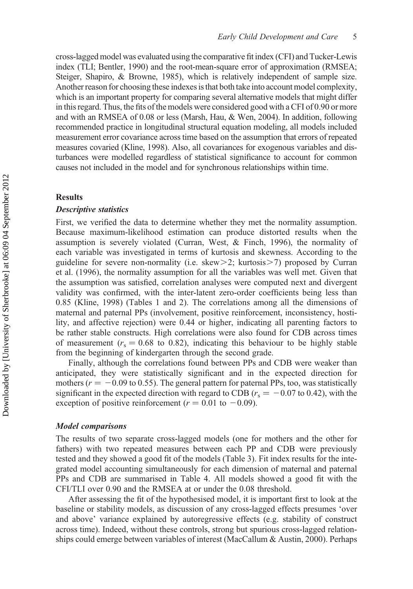cross-lagged model was evaluated using the comparative fit index (CFI) and Tucker-Lewis index (TLI; Bentler, 1990) and the root-mean-square error of approximation (RMSEA; Steiger, Shapiro, & Browne, 1985), which is relatively independent of sample size. Another reason for choosing these indexes is that both take into account model complexity, which is an important property for comparing several alternative models that might differ in this regard. Thus, the fits of the models were considered good with a CFI of 0.90 or more and with an RMSEA of 0.08 or less (Marsh, Hau, & Wen, 2004). In addition, following recommended practice in longitudinal structural equation modeling, all models included measurement error covariance across time based on the assumption that errors of repeated measures covaried (Kline, 1998). Also, all covariances for exogenous variables and disturbances were modelled regardless of statistical significance to account for common causes not included in the model and for synchronous relationships within time.

### **Results**

## Descriptive statistics

First, we verified the data to determine whether they met the normality assumption. Because maximum-likelihood estimation can produce distorted results when the assumption is severely violated (Curran, West, & Finch, 1996), the normality of each variable was investigated in terms of kurtosis and skewness. According to the guideline for severe non-normality (i.e. skew $>$ 2; kurtosis $>$ 7) proposed by Curran et al. (1996), the normality assumption for all the variables was well met. Given that the assumption was satisfied, correlation analyses were computed next and divergent validity was confirmed, with the inter-latent zero-order coefficients being less than 0.85 (Kline, 1998) (Tables 1 and 2). The correlations among all the dimensions of maternal and paternal PPs (involvement, positive reinforcement, inconsistency, hostility, and affective rejection) were 0.44 or higher, indicating all parenting factors to be rather stable constructs. High correlations were also found for CDB across times of measurement ( $r_s = 0.68$  to 0.82), indicating this behaviour to be highly stable from the beginning of kindergarten through the second grade.

Finally, although the correlations found between PPs and CDB were weaker than anticipated, they were statistically significant and in the expected direction for mothers ( $r = -0.09$  to 0.55). The general pattern for paternal PPs, too, was statistically significant in the expected direction with regard to CDB ( $r_s = -0.07$  to 0.42), with the exception of positive reinforcement ( $r = 0.01$  to  $-0.09$ ).

#### Model comparisons

The results of two separate cross-lagged models (one for mothers and the other for fathers) with two repeated measures between each PP and CDB were previously tested and they showed a good fit of the models (Table 3). Fit index results for the integrated model accounting simultaneously for each dimension of maternal and paternal PPs and CDB are summarised in Table 4. All models showed a good fit with the CFI/TLI over 0.90 and the RMSEA at or under the 0.08 threshold.

After assessing the fit of the hypothesised model, it is important first to look at the baseline or stability models, as discussion of any cross-lagged effects presumes 'over and above' variance explained by autoregressive effects (e.g. stability of construct across time). Indeed, without these controls, strong but spurious cross-lagged relationships could emerge between variables of interest (MacCallum & Austin, 2000). Perhaps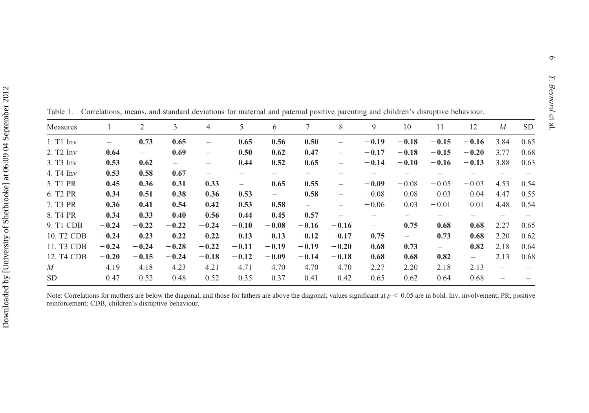$\sigma$ 

| <b>Measures</b>        |                          | 2       | 3                        | $\overline{4}$           | 5                        | 6                        |                          | 8                        | 9                        | 10                       | 11                       | 12                       | $\overline{M}$           | SD.  |
|------------------------|--------------------------|---------|--------------------------|--------------------------|--------------------------|--------------------------|--------------------------|--------------------------|--------------------------|--------------------------|--------------------------|--------------------------|--------------------------|------|
| $1. T1$ Inv            | $\overline{\phantom{0}}$ | 0.73    | 0.65                     | $\overline{\phantom{0}}$ | 0.65                     | 0.56                     | 0.50                     | $\overline{\phantom{0}}$ | $-0.19$                  | $-0.18$                  | $-0.15$                  | $-0.16$                  | 3.84                     | 0.65 |
| 2. T <sub>2</sub> Inv  | 0.64                     | -       | 0.69                     | $\overline{\phantom{0}}$ | 0.50                     | 0.62                     | 0.47                     | -                        | $-0.17$                  | $-0.18$                  | $-0.15$                  | $-0.20$                  | 3.77                     | 0.68 |
| 3. T <sub>3</sub> Inv  | 0.53                     | 0.62    | $\overline{\phantom{0}}$ | $\overline{\phantom{0}}$ | 0.44                     | 0.52                     | 0.65                     | $\overline{\phantom{0}}$ | $-0.14$                  | $-0.10$                  | $-0.16$                  | $-0.13$                  | 3.88                     | 0.63 |
| 4. T4 Inv              | 0.53                     | 0.58    | 0.67                     | -                        |                          | $-$                      | $\overline{\phantom{0}}$ |                          |                          |                          |                          |                          |                          |      |
| 5. T1 PR               | 0.45                     | 0.36    | 0.31                     | 0.33                     | $\overline{\phantom{0}}$ | 0.65                     | 0.55                     | $\qquad \qquad -$        | $-0.09$                  | $-0.08$                  | $-0.05$                  | $-0.03$                  | 4.53                     | 0.54 |
| 6. T <sub>2</sub> PR   | 0.34                     | 0.51    | 0.38                     | 0.36                     | 0.53                     | $\overline{\phantom{0}}$ | 0.58                     | $\overline{\phantom{0}}$ | $-0.08$                  | $-0.08$                  | $-0.03$                  | $-0.04$                  | 4.47                     | 0.55 |
| 7. T3 PR               | 0.36                     | 0.41    | 0.54                     | 0.42                     | 0.53                     | 0.58                     | $\overline{\phantom{0}}$ | $\overline{\phantom{0}}$ | $-0.06$                  | 0.03                     | $-0.01$                  | 0.01                     | 4.48                     | 0.54 |
| 8. T4 PR               | 0.34                     | 0.33    | 0.40                     | 0.56                     | 0.44                     | 0.45                     | 0.57                     | $\qquad \qquad -$        | -                        | $\overline{\phantom{0}}$ | $\overline{\phantom{0}}$ |                          |                          |      |
| 9. T1 CDB              | $-0.24$                  | $-0.22$ | $-0.22$                  | $-0.24$                  | $-0.10$                  | $-0.08$                  | $-0.16$                  | $-0.16$                  | $\overline{\phantom{0}}$ | 0.75                     | 0.68                     | 0.68                     | 2.27                     | 0.65 |
| 10. T <sub>2</sub> CDB | $-0.24$                  | $-0.23$ | $-0.22$                  | $-0.22$                  | $-0.13$                  | $-0.13$                  | $-0.12$                  | $-0.17$                  | 0.75                     | $\overline{\phantom{0}}$ | 0.73                     | 0.68                     | 2.20                     | 0.62 |
| 11. T <sub>3</sub> CDB | $-0.24$                  | $-0.24$ | $-0.28$                  | $-0.22$                  | $-0.11$                  | $-0.19$                  | $-0.19$                  | $-0.20$                  | 0.68                     | 0.73                     | $\overline{\phantom{0}}$ | 0.82                     | 2.18                     | 0.64 |
| 12. T4 CDB             | $-0.20$                  | $-0.15$ | $-0.24$                  | $-0.18$                  | $-0.12$                  | $-0.09$                  | $-0.14$                  | $-0.18$                  | 0.68                     | 0.68                     | 0.82                     | $\overline{\phantom{0}}$ | 2.13                     | 0.68 |
| M                      | 4.19                     | 4.18    | 4.23                     | 4.21                     | 4.71                     | 4.70                     | 4.70                     | 4.70                     | 2.27                     | 2.20                     | 2.18                     | 2.13                     | $\overline{\phantom{m}}$ |      |
| <b>SD</b>              | 0.47                     | 0.52    | 0.48                     | 0.52                     | 0.35                     | 0.37                     | 0.41                     | 0.42                     | 0.65                     | 0.62                     | 0.64                     | 0.68                     |                          |      |

Table 1. Correlations, means, and standard deviations for maternal and paternal positive parenting and children's disruptive behaviour.

Note: Correlations for mothers are below the diagonal, and those for fathers are above the diagonal; values significant at  $p < 0.05$  are in bold. Inv, involvement; PR, positive reinforcement; CDB, children's disruptive behaviour.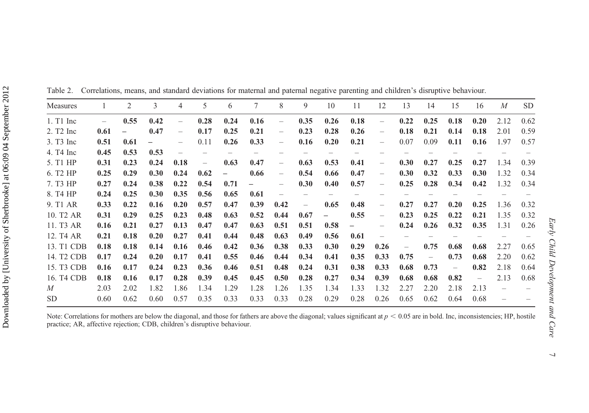| <b>Measures</b>        |      | 2                        | 3                        | 4                        | 5                        | 6                 | 7                        | 8                        | 9                 | 10   | 11                       | 12                       | 13                       | 14                       | 15                       | 16                | $\overline{M}$ | <b>SD</b> |
|------------------------|------|--------------------------|--------------------------|--------------------------|--------------------------|-------------------|--------------------------|--------------------------|-------------------|------|--------------------------|--------------------------|--------------------------|--------------------------|--------------------------|-------------------|----------------|-----------|
| $1. T1$ Inc            |      | 0.55                     | 0.42                     |                          | 0.28                     | 0.24              | 0.16                     | $\overline{\phantom{0}}$ | 0.35              | 0.26 | 0.18                     |                          | 0.22                     | 0.25                     | 0.18                     | 0.20              | 2.12           | 0.62      |
| 2. T <sub>2</sub> Inc  | 0.61 | $\overline{\phantom{0}}$ | 0.47                     | $\overline{\phantom{0}}$ | 0.17                     | 0.25              | 0.21                     | $\qquad \qquad -$        | 0.23              | 0.28 | 0.26                     | $\overline{\phantom{0}}$ | 0.18                     | 0.21                     | 0.14                     | 0.18              | 2.01           | 0.59      |
| 3. T <sub>3</sub> Inc  | 0.51 | 0.61                     | $\overline{\phantom{0}}$ |                          | 0.11                     | 0.26              | 0.33                     | $\overline{\phantom{0}}$ | 0.16              | 0.20 | 0.21                     | $\overline{\phantom{0}}$ | 0.07                     | 0.09                     | 0.11                     | 0.16              | 1.97           | 0.57      |
| 4. T4 Inc              | 0.45 | 0.53                     | 0.53                     |                          |                          |                   |                          |                          |                   |      |                          |                          |                          |                          |                          |                   |                |           |
| 5. T1 HP               | 0.31 | 0.23                     | 0.24                     | 0.18                     | $\overline{\phantom{0}}$ | 0.63              | 0.47                     | -                        | 0.63              | 0.53 | 0.41                     | -                        | 0.30                     | 0.27                     | 0.25                     | 0.27              | 1.34           | 0.39      |
| 6. T <sub>2</sub> HP   | 0.25 | 0.29                     | 0.30                     | 0.24                     | 0.62                     | $\qquad \qquad -$ | 0.66                     | $\qquad \qquad -$        | 0.54              | 0.66 | 0.47                     | $\overline{\phantom{0}}$ | 0.30                     | 0.32                     | 0.33                     | 0.30              | 1.32           | 0.34      |
| 7. T3 HP               | 0.27 | 0.24                     | 0.38                     | 0.22                     | 0.54                     | 0.71              | $\overline{\phantom{0}}$ | -                        | 0.30              | 0.40 | 0.57                     | $\overline{\phantom{0}}$ | 0.25                     | 0.28                     | 0.34                     | 0.42              | 1.32           | 0.34      |
| 8. T4 HP               | 0.24 | 0.25                     | 0.30                     | 0.35                     | 0.56                     | 0.65              | 0.61                     |                          |                   |      |                          |                          |                          |                          |                          |                   |                |           |
| 9. T1 AR               | 0.33 | 0.22                     | 0.16                     | 0.20                     | 0.57                     | 0.47              | 0.39                     | 0.42                     | $\qquad \qquad -$ | 0.65 | 0.48                     |                          | 0.27                     | 0.27                     | 0.20                     | 0.25              | 1.36           | 0.32      |
| 10. T <sub>2</sub> AR  | 0.31 | 0.29                     | 0.25                     | 0.23                     | 0.48                     | 0.63              | 0.52                     | 0.44                     | 0.67              | —    | 0.55                     | $\overline{\phantom{0}}$ | 0.23                     | 0.25                     | 0.22                     | 0.21              | 1.35           | 0.32      |
| 11. T <sub>3</sub> AR  | 0.16 | 0.21                     | 0.27                     | 0.13                     | 0.47                     | 0.47              | 0.63                     | 0.51                     | 0.51              | 0.58 | $\overline{\phantom{0}}$ |                          | 0.24                     | 0.26                     | 0.32                     | 0.35              | 1.31           | 0.26      |
| 12. T <sub>4</sub> AR  | 0.21 | 0.18                     | 0.20                     | 0.27                     | 0.41                     | 0.44              | 0.48                     | 0.63                     | 0.49              | 0.56 | 0.61                     | $\overline{\phantom{0}}$ |                          |                          |                          |                   |                |           |
| 13. T1 CDB             | 0.18 | 0.18                     | 0.14                     | 0.16                     | 0.46                     | 0.42              | 0.36                     | 0.38                     | 0.33              | 0.30 | 0.29                     | 0.26                     | $\overline{\phantom{0}}$ | 0.75                     | 0.68                     | 0.68              | 2.27           | 0.65      |
| 14. T <sub>2</sub> CDB | 0.17 | 0.24                     | 0.20                     | 0.17                     | 0.41                     | 0.55              | 0.46                     | 0.44                     | 0.34              | 0.41 | 0.35                     | 0.33                     | 0.75                     | $\overline{\phantom{0}}$ | 0.73                     | 0.68              | 2.20           | 0.62      |
| 15. T <sub>3</sub> CDB | 0.16 | 0.17                     | 0.24                     | 0.23                     | 0.36                     | 0.46              | 0.51                     | 0.48                     | 0.24              | 0.31 | 0.38                     | 0.33                     | 0.68                     | 0.73                     | $\overline{\phantom{m}}$ | 0.82              | 2.18           | 0.64      |
| 16. T4 CDB             | 0.18 | 0.16                     | 0.17                     | 0.28                     | 0.39                     | 0.45              | 0.45                     | 0.50                     | 0.28              | 0.27 | 0.34                     | 0.39                     | 0.68                     | 0.68                     | 0.82                     | $\qquad \qquad -$ | 2.13           | 0.68      |
| M                      | 2.03 | 2.02                     | 1.82                     | 1.86                     | 1.34                     | 1.29              | 1.28                     | 1.26                     | 1.35              | 1.34 | 1.33                     | 1.32                     | 2.27                     | 2.20                     | 2.18                     | 2.13              |                |           |
| SD.                    | 0.60 | 0.62                     | 0.60                     | 0.57                     | 0.35                     | 0.33              | 0.33                     | 0.33                     | 0.28              | 0.29 | 0.28                     | 0.26                     | 0.65                     | 0.62                     | 0.64                     | 0.68              |                |           |

Table 2. Correlations, means, and standard deviations for maternal and paternal negative parenting and children's disruptive behaviour.

Note: Correlations for mothers are below the diagonal, and those for fathers are above the diagonal; values significant at  $p < 0.05$  are in bold. Inc, inconsistencies; HP, hostile practice; AR, affective rejection; CDB, children's disruptive behaviour.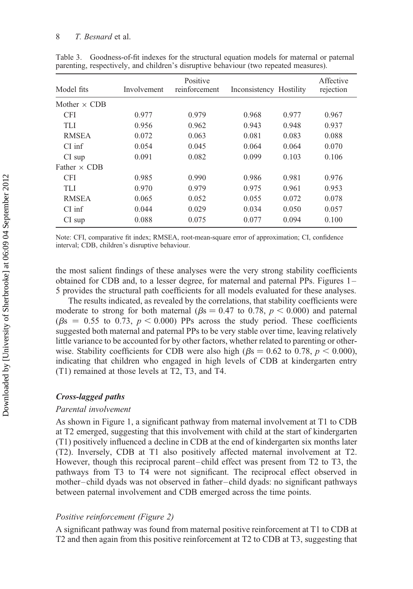| Model fits          | Involvement | Positive<br>reinforcement | Inconsistency Hostility |       | Affective<br>rejection |
|---------------------|-------------|---------------------------|-------------------------|-------|------------------------|
| Mother $\times$ CDB |             |                           |                         |       |                        |
| <b>CFI</b>          | 0.977       | 0.979                     | 0.968                   | 0.977 | 0.967                  |
| <b>TLI</b>          | 0.956       | 0.962                     | 0.943                   | 0.948 | 0.937                  |
| <b>RMSEA</b>        | 0.072       | 0.063                     | 0.081                   | 0.083 | 0.088                  |
| $CI$ inf            | 0.054       | 0.045                     | 0.064                   | 0.064 | 0.070                  |
| $CI$ sup            | 0.091       | 0.082                     | 0.099                   | 0.103 | 0.106                  |
| Father $\times$ CDB |             |                           |                         |       |                        |
| <b>CFI</b>          | 0.985       | 0.990                     | 0.986                   | 0.981 | 0.976                  |
| <b>TLI</b>          | 0.970       | 0.979                     | 0.975                   | 0.961 | 0.953                  |
| <b>RMSEA</b>        | 0.065       | 0.052                     | 0.055                   | 0.072 | 0.078                  |
| $CI$ inf            | 0.044       | 0.029                     | 0.034                   | 0.050 | 0.057                  |
| $CI$ sup            | 0.088       | 0.075                     | 0.077                   | 0.094 | 0.100                  |

Table 3. Goodness-of-fit indexes for the structural equation models for maternal or paternal parenting, respectively, and children's disruptive behaviour (two repeated measures).

Note: CFI, comparative fit index; RMSEA, root-mean-square error of approximation; CI, confidence interval; CDB, children's disruptive behaviour.

the most salient findings of these analyses were the very strong stability coefficients obtained for CDB and, to a lesser degree, for maternal and paternal PPs. Figures 1– 5 provides the structural path coefficients for all models evaluated for these analyses.

The results indicated, as revealed by the correlations, that stability coefficients were moderate to strong for both maternal ( $\beta s = 0.47$  to 0.78,  $p < 0.000$ ) and paternal ( $\beta$ s = 0.55 to 0.73,  $p$  < 0.000) PPs across the study period. These coefficients suggested both maternal and paternal PPs to be very stable over time, leaving relatively little variance to be accounted for by other factors, whether related to parenting or otherwise. Stability coefficients for CDB were also high ( $\beta s = 0.62$  to 0.78,  $p < 0.000$ ), indicating that children who engaged in high levels of CDB at kindergarten entry (T1) remained at those levels at T2, T3, and T4.

## Cross-lagged paths

### Parental involvement

As shown in Figure 1, a significant pathway from maternal involvement at T1 to CDB at T2 emerged, suggesting that this involvement with child at the start of kindergarten (T1) positively influenced a decline in CDB at the end of kindergarten six months later (T2). Inversely, CDB at T1 also positively affected maternal involvement at T2. However, though this reciprocal parent–child effect was present from T2 to T3, the pathways from T3 to T4 were not significant. The reciprocal effect observed in mother–child dyads was not observed in father–child dyads: no significant pathways between paternal involvement and CDB emerged across the time points.

## Positive reinforcement (Figure 2)

A significant pathway was found from maternal positive reinforcement at T1 to CDB at T2 and then again from this positive reinforcement at T2 to CDB at T3, suggesting that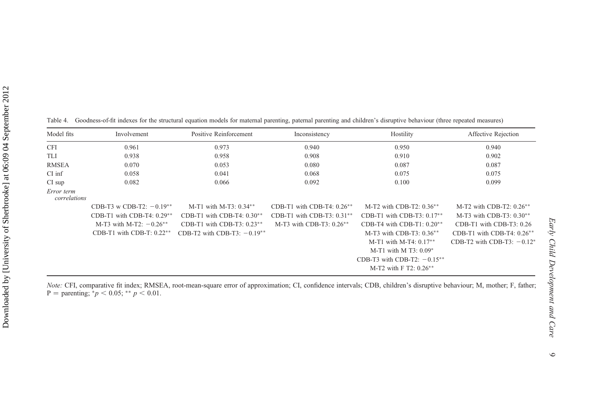| Model fits                 | Involvement                  | Positive Reinforcement        | Inconsistency                | Hostility                     | Affective Rejection                      |
|----------------------------|------------------------------|-------------------------------|------------------------------|-------------------------------|------------------------------------------|
| <b>CFI</b>                 | 0.961                        | 0.973                         | 0.940                        | 0.950                         | 0.940                                    |
| <b>TLI</b>                 | 0.938                        | 0.958                         | 0.908                        | 0.910                         | 0.902                                    |
| <b>RMSEA</b>               | 0.070                        | 0.053                         | 0.080                        | 0.087                         | 0.087                                    |
| $CI$ inf                   | 0.058                        | 0.041                         | 0.068                        | 0.075                         | 0.075                                    |
| $CI$ sup                   | 0.082                        | 0.066                         | 0.092                        | 0.100                         | 0.099                                    |
| Error term<br>correlations |                              |                               |                              |                               |                                          |
|                            | CDB-T3 w CDB-T2: $-0.19**$   | M-T1 with M-T3: $0.34**$      | CDB-T1 with CDB-T4: $0.26**$ | M-T2 with CDB-T2: $0.36**$    | M-T2 with CDB-T2: $0.26**$               |
|                            | CDB-T1 with CDB-T4: $0.29**$ | CDB-T1 with CDB-T4: $0.30**$  | CDB-T1 with CDB-T3: $0.31**$ | CDB-T1 with CDB-T3: $0.17**$  | M-T3 with CDB-T3: $0.30**$               |
|                            | M-T3 with M-T2: $-0.26**$    | CDB-T1 with CDB-T3: $0.23**$  | M-T3 with CDB-T3: $0.26**$   | CDB-T4 with CDB-T1: $0.20**$  | CDB-T1 with CDB-T3: 0.26                 |
|                            | CDB-T1 with CDB-T: $0.22**$  | CDB-T2 with CDB-T3: $-0.19**$ |                              | M-T3 with CDB-T3: $0.36**$    | CDB-T1 with CDB-T4: $0.26**$             |
|                            |                              |                               |                              | M-T1 with M-T4: $0.17**$      | CDB-T2 with CDB-T3: $-0.12$ <sup>*</sup> |
|                            |                              |                               |                              | $M-T1$ with M T3: $0.09*$     |                                          |
|                            |                              |                               |                              | CDB-T3 with CDB-T2: $-0.15**$ |                                          |
|                            |                              |                               |                              | M-T2 with F T2: $0.26**$      |                                          |

Table 4. Goodness-of-fit indexes for the structural equation models for maternal parenting, paternal parenting and children's disruptive behaviour (three repeated measures)

Note: CFI, comparative fit index; RMSEA, root-mean-square error of approximation; CI, confidence intervals; CDB, children's disruptive behaviour; M, mother; F, father; P = parenting;  ${}^*p$  < 0.05;  ${}^{**}p$  < 0.01.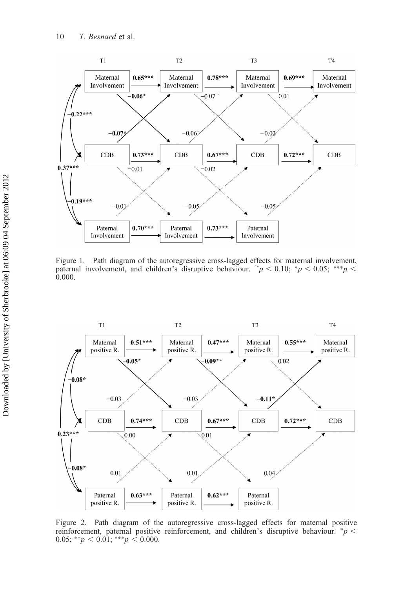

Figure 1. Path diagram of the autoregressive cross-lagged effects for maternal involvement, paternal involvement, and children's disruptive behaviour.  $p < 0.10$ ; \*p < 0.05; \*\*\*p < 0.000.



Figure 2. Path diagram of the autoregressive cross-lagged effects for maternal positive reinforcement, paternal positive reinforcement, and children's disruptive behaviour. \* $p$  < 0.05;  $*^{*}p < 0.01$ ;  $**^{*}p < 0.000$ .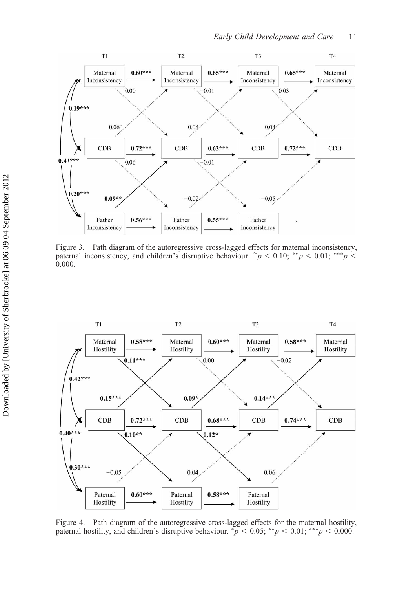

Figure 3. Path diagram of the autoregressive cross-lagged effects for maternal inconsistency, paternal inconsistency, and children's disruptive behaviour.  $p < 0.10$ ; \*\*p < 0.01; \*\*\*p < 0.000.

Inconsistency

Inconsistency

Inconsistency



Figure 4. Path diagram of the autoregressive cross-lagged effects for the maternal hostility, paternal hostility, and children's disruptive behaviour.  $\bar{p}$  < 0.05; \*\*p < 0.01; \*\*\*p < 0.000.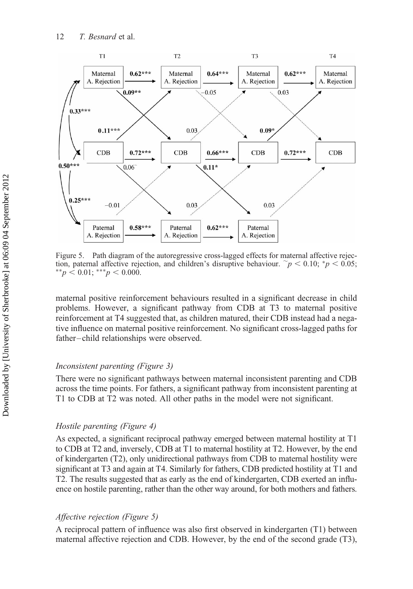

Figure 5. Path diagram of the autoregressive cross-lagged effects for maternal affective rejection, paternal affective rejection, and children's disruptive behaviour.  $\gamma p < 0.10$ ; \* $p < 0.05$ ;  $*^*p < 0.01; **p < 0.000.$ 

maternal positive reinforcement behaviours resulted in a significant decrease in child problems. However, a significant pathway from CDB at T3 to maternal positive reinforcement at T4 suggested that, as children matured, their CDB instead had a negative influence on maternal positive reinforcement. No significant cross-lagged paths for father–child relationships were observed.

## Inconsistent parenting (Figure 3)

There were no significant pathways between maternal inconsistent parenting and CDB across the time points. For fathers, a significant pathway from inconsistent parenting at T1 to CDB at T2 was noted. All other paths in the model were not significant.

## Hostile parenting (Figure 4)

As expected, a significant reciprocal pathway emerged between maternal hostility at T1 to CDB at T2 and, inversely, CDB at T1 to maternal hostility at T2. However, by the end of kindergarten (T2), only unidirectional pathways from CDB to maternal hostility were significant at T3 and again at T4. Similarly for fathers, CDB predicted hostility at T1 and T2. The results suggested that as early as the end of kindergarten, CDB exerted an influence on hostile parenting, rather than the other way around, for both mothers and fathers.

#### Affective rejection (Figure 5)

A reciprocal pattern of influence was also first observed in kindergarten (T1) between maternal affective rejection and CDB. However, by the end of the second grade (T3),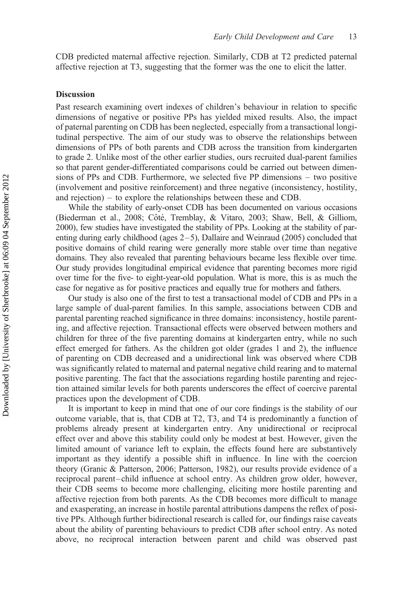CDB predicted maternal affective rejection. Similarly, CDB at T2 predicted paternal affective rejection at T3, suggesting that the former was the one to elicit the latter.

#### **Discussion**

Past research examining overt indexes of children's behaviour in relation to specific dimensions of negative or positive PPs has yielded mixed results. Also, the impact of paternal parenting on CDB has been neglected, especially from a transactional longitudinal perspective. The aim of our study was to observe the relationships between dimensions of PPs of both parents and CDB across the transition from kindergarten to grade 2. Unlike most of the other earlier studies, ours recruited dual-parent families so that parent gender-differentiated comparisons could be carried out between dimensions of PPs and CDB. Furthermore, we selected five PP dimensions – two positive (involvement and positive reinforcement) and three negative (inconsistency, hostility, and rejection) – to explore the relationships between these and CDB.

While the stability of early-onset CDB has been documented on various occasions (Biederman et al., 2008; Côté, Tremblay, & Vitaro, 2003; Shaw, Bell, & Gilliom, 2000), few studies have investigated the stability of PPs. Looking at the stability of parenting during early childhood (ages 2–5), Dallaire and Weinraud (2005) concluded that positive domains of child rearing were generally more stable over time than negative domains. They also revealed that parenting behaviours became less flexible over time. Our study provides longitudinal empirical evidence that parenting becomes more rigid over time for the five- to eight-year-old population. What is more, this is as much the case for negative as for positive practices and equally true for mothers and fathers.

Our study is also one of the first to test a transactional model of CDB and PPs in a large sample of dual-parent families. In this sample, associations between CDB and parental parenting reached significance in three domains: inconsistency, hostile parenting, and affective rejection. Transactional effects were observed between mothers and children for three of the five parenting domains at kindergarten entry, while no such effect emerged for fathers. As the children got older (grades 1 and 2), the influence of parenting on CDB decreased and a unidirectional link was observed where CDB was significantly related to maternal and paternal negative child rearing and to maternal positive parenting. The fact that the associations regarding hostile parenting and rejection attained similar levels for both parents underscores the effect of coercive parental practices upon the development of CDB.

It is important to keep in mind that one of our core findings is the stability of our outcome variable, that is, that CDB at T2, T3, and T4 is predominantly a function of problems already present at kindergarten entry. Any unidirectional or reciprocal effect over and above this stability could only be modest at best. However, given the limited amount of variance left to explain, the effects found here are substantively important as they identify a possible shift in influence. In line with the coercion theory (Granic & Patterson, 2006; Patterson, 1982), our results provide evidence of a reciprocal parent–child influence at school entry. As children grow older, however, their CDB seems to become more challenging, eliciting more hostile parenting and affective rejection from both parents. As the CDB becomes more difficult to manage and exasperating, an increase in hostile parental attributions dampens the reflex of positive PPs. Although further bidirectional research is called for, our findings raise caveats about the ability of parenting behaviours to predict CDB after school entry. As noted above, no reciprocal interaction between parent and child was observed past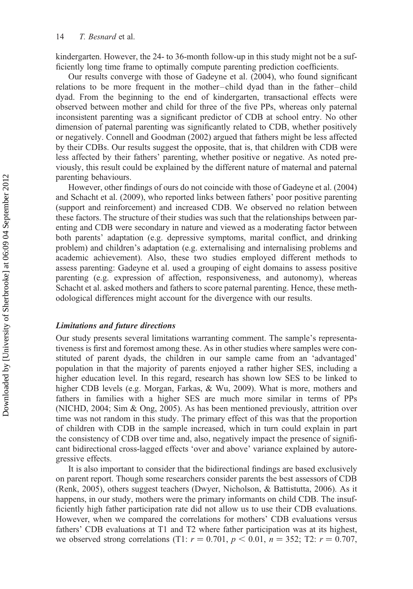kindergarten. However, the 24- to 36-month follow-up in this study might not be a sufficiently long time frame to optimally compute parenting prediction coefficients.

Our results converge with those of Gadeyne et al. (2004), who found significant relations to be more frequent in the mother–child dyad than in the father–child dyad. From the beginning to the end of kindergarten, transactional effects were observed between mother and child for three of the five PPs, whereas only paternal inconsistent parenting was a significant predictor of CDB at school entry. No other dimension of paternal parenting was significantly related to CDB, whether positively or negatively. Connell and Goodman (2002) argued that fathers might be less affected by their CDBs. Our results suggest the opposite, that is, that children with CDB were less affected by their fathers' parenting, whether positive or negative. As noted previously, this result could be explained by the different nature of maternal and paternal parenting behaviours.

However, other findings of ours do not coincide with those of Gadeyne et al. (2004) and Schacht et al. (2009), who reported links between fathers' poor positive parenting (support and reinforcement) and increased CDB. We observed no relation between these factors. The structure of their studies was such that the relationships between parenting and CDB were secondary in nature and viewed as a moderating factor between both parents' adaptation (e.g. depressive symptoms, marital conflict, and drinking problem) and children's adaptation (e.g. externalising and internalising problems and academic achievement). Also, these two studies employed different methods to assess parenting: Gadeyne et al. used a grouping of eight domains to assess positive parenting (e.g. expression of affection, responsiveness, and autonomy), whereas Schacht et al. asked mothers and fathers to score paternal parenting. Hence, these methodological differences might account for the divergence with our results.

#### Limitations and future directions

Our study presents several limitations warranting comment. The sample's representativeness is first and foremost among these. As in other studies where samples were constituted of parent dyads, the children in our sample came from an 'advantaged' population in that the majority of parents enjoyed a rather higher SES, including a higher education level. In this regard, research has shown low SES to be linked to higher CDB levels (e.g. Morgan, Farkas, & Wu, 2009). What is more, mothers and fathers in families with a higher SES are much more similar in terms of PPs (NICHD, 2004; Sim & Ong, 2005). As has been mentioned previously, attrition over time was not random in this study. The primary effect of this was that the proportion of children with CDB in the sample increased, which in turn could explain in part the consistency of CDB over time and, also, negatively impact the presence of significant bidirectional cross-lagged effects 'over and above' variance explained by autoregressive effects.

It is also important to consider that the bidirectional findings are based exclusively on parent report. Though some researchers consider parents the best assessors of CDB (Renk, 2005), others suggest teachers (Dwyer, Nicholson, & Battistutta, 2006). As it happens, in our study, mothers were the primary informants on child CDB. The insufficiently high father participation rate did not allow us to use their CDB evaluations. However, when we compared the correlations for mothers' CDB evaluations versus fathers' CDB evaluations at T1 and T2 where father participation was at its highest, we observed strong correlations (T1:  $r = 0.701$ ,  $p < 0.01$ ,  $n = 352$ ; T2:  $r = 0.707$ ,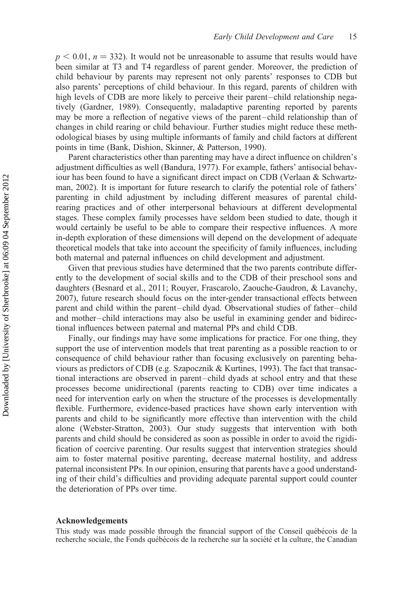$p < 0.01$ ,  $n = 332$ ). It would not be unreasonable to assume that results would have been similar at T3 and T4 regardless of parent gender. Moreover, the prediction of child behaviour by parents may represent not only parents' responses to CDB but also parents' perceptions of child behaviour. In this regard, parents of children with high levels of CDB are more likely to perceive their parent–child relationship negatively (Gardner, 1989). Consequently, maladaptive parenting reported by parents may be more a reflection of negative views of the parent–child relationship than of changes in child rearing or child behaviour. Further studies might reduce these methodological biases by using multiple informants of family and child factors at different points in time (Bank, Dishion, Skinner, & Patterson, 1990).

Parent characteristics other than parenting may have a direct influence on children's adjustment difficulties as well (Bandura, 1977). For example, fathers' antisocial behaviour has been found to have a significant direct impact on CDB (Verlaan & Schwartzman, 2002). It is important for future research to clarify the potential role of fathers' parenting in child adjustment by including different measures of parental childrearing practices and of other interpersonal behaviours at different developmental stages. These complex family processes have seldom been studied to date, though it would certainly be useful to be able to compare their respective influences. A more in-depth exploration of these dimensions will depend on the development of adequate theoretical models that take into account the specificity of family influences, including both maternal and paternal influences on child development and adjustment.

Given that previous studies have determined that the two parents contribute differently to the development of social skills and to the CDB of their preschool sons and daughters (Besnard et al., 2011; Rouyer, Frascarolo, Zaouche-Gaudron, & Lavanchy, 2007), future research should focus on the inter-gender transactional effects between parent and child within the parent–child dyad. Observational studies of father–child and mother–child interactions may also be useful in examining gender and bidirectional influences between paternal and maternal PPs and child CDB.

Finally, our findings may have some implications for practice. For one thing, they support the use of intervention models that treat parenting as a possible reaction to or consequence of child behaviour rather than focusing exclusively on parenting behaviours as predictors of CDB (e.g. Szapocznik & Kurtines, 1993). The fact that transactional interactions are observed in parent–child dyads at school entry and that these processes become unidirectional (parents reacting to CDB) over time indicates a need for intervention early on when the structure of the processes is developmentally flexible. Furthermore, evidence-based practices have shown early intervention with parents and child to be significantly more effective than intervention with the child alone (Webster-Stratton, 2003). Our study suggests that intervention with both parents and child should be considered as soon as possible in order to avoid the rigidification of coercive parenting. Our results suggest that intervention strategies should aim to foster maternal positive parenting, decrease maternal hostility, and address paternal inconsistent PPs. In our opinion, ensuring that parents have a good understanding of their child's difficulties and providing adequate parental support could counter the deterioration of PPs over time.

#### Acknowledgements

This study was made possible through the financial support of the Conseil québécois de la recherche sociale, the Fonds québécois de la recherche sur la société et la culture, the Canadian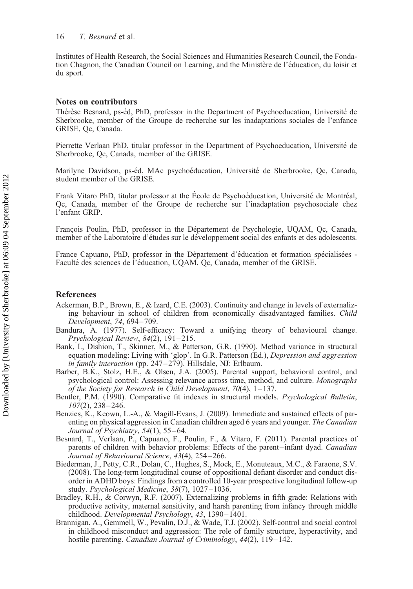Institutes of Health Research, the Social Sciences and Humanities Research Council, the Fondation Chagnon, the Canadian Council on Learning, and the Ministère de l'éducation, du loisir et du sport.

#### Notes on contributors

Thérèse Besnard, ps-éd, PhD, professor in the Department of Psychoeducation, Université de Sherbrooke, member of the Groupe de recherche sur les inadaptations sociales de l'enfance GRISE, Qc, Canada.

Pierrette Verlaan PhD, titular professor in the Department of Psychoeducation, Université de Sherbrooke, Qc, Canada, member of the GRISE.

Marilyne Davidson, ps-éd, MAc psychoéducation, Université de Sherbrooke, Qc, Canada, student member of the GRISE.

Frank Vitaro PhD, titular professor at the École de Psychoéducation, Université de Montréal, Qc, Canada, member of the Groupe de recherche sur l'inadaptation psychosociale chez l'enfant GRIP.

François Poulin, PhD, professor in the Département de Psychologie, UQAM, Qc, Canada, member of the Laboratoire d'études sur le développement social des enfants et des adolescents.

France Capuano, PhD, professor in the Département d'éducation et formation spécialisées -Faculté des sciences de l'éducation, UQAM, Qc, Canada, member of the GRISE.

## References

- Ackerman, B.P., Brown, E., & Izard, C.E. (2003). Continuity and change in levels of externalizing behaviour in school of children from economically disadvantaged families. Child Development, 74, 694–709.
- Bandura, A. (1977). Self-efficacy: Toward a unifying theory of behavioural change. Psychological Review, 84(2), 191–215.
- Bank, I., Dishion, T., Skinner, M., & Patterson, G.R. (1990). Method variance in structural equation modeling: Living with 'glop'. In G.R. Patterson (Ed.), Depression and aggression in family interaction (pp. 247–279). Hillsdale, NJ: Erlbaum.
- Barber, B.K., Stolz, H.E., & Olsen, J.A. (2005). Parental support, behavioral control, and psychological control: Assessing relevance across time, method, and culture. Monographs of the Society for Research in Child Development, 70(4), 1–137.
- Bentler, P.M. (1990). Comparative fit indexes in structural models. Psychological Bulletin, 107(2), 238–246.
- Benzies, K., Keown, L.-A., & Magill-Evans, J. (2009). Immediate and sustained effects of parenting on physical aggression in Canadian children aged 6 years and younger. The Canadian Journal of Psychiatry, 54(1), 55–64.
- Besnard, T., Verlaan, P., Capuano, F., Poulin, F., & Vitaro, F. (2011). Parental practices of parents of children with behavior problems: Effects of the parent–infant dyad. Canadian Journal of Behavioural Science, 43(4), 254–266.
- Biederman, J., Petty, C.R., Dolan, C., Hughes, S., Mock, E., Monuteaux, M.C., & Faraone, S.V. (2008). The long-term longitudinal course of oppositional defiant disorder and conduct disorder in ADHD boys: Findings from a controlled 10-year prospective longitudinal follow-up study. Psychological Medicine, 38(7), 1027–1036.
- Bradley, R.H., & Corwyn, R.F. (2007). Externalizing problems in fifth grade: Relations with productive activity, maternal sensitivity, and harsh parenting from infancy through middle childhood. Developmental Psychology, 43, 1390-1401.
- Brannigan, A., Gemmell, W., Pevalin, D.J., & Wade, T.J. (2002). Self-control and social control in childhood misconduct and aggression: The role of family structure, hyperactivity, and hostile parenting. *Canadian Journal of Criminology*, 44(2), 119–142.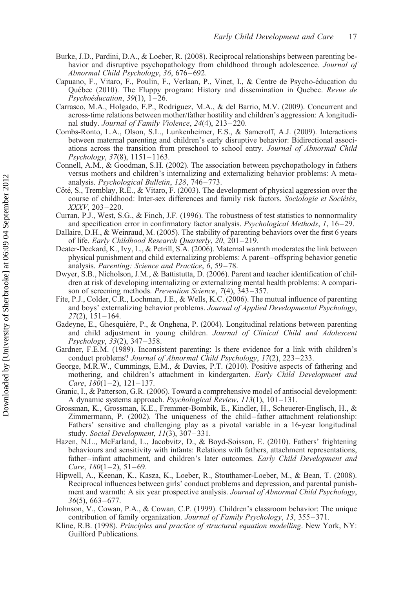- Burke, J.D., Pardini, D.A., & Loeber, R. (2008). Reciprocal relationships between parenting behavior and disruptive psychopathology from childhood through adolescence. Journal of Abnormal Child Psychology, 36, 676–692.
- Capuano, F., Vitaro, F., Poulin, F., Verlaan, P., Vinet, I., & Centre de Psycho-éducation du Québec (2010). The Fluppy program: History and dissemination in Quebec. Revue de Psychoéducation,  $39(1)$ ,  $1-26$ .
- Carrasco, M.A., Holgado, F.P., Rodriguez, M.A., & del Barrio, M.V. (2009). Concurrent and across-time relations between mother/father hostility and children's aggression: A longitudinal study. Journal of Family Violence, 24(4), 213–220.
- Combs-Ronto, L.A., Olson, S.L., Lunkenheimer, E.S., & Sameroff, A.J. (2009). Interactions between maternal parenting and children's early disruptive behavior: Bidirectional associations across the transition from preschool to school entry. Journal of Abnormal Child Psychology, 37(8), 1151–1163.
- Connell, A.M., & Goodman, S.H. (2002). The association between psychopathology in fathers versus mothers and children's internalizing and externalizing behavior problems: A metaanalysis. Psychological Bulletin, 128, 746–773.
- Côté, S., Tremblay, R.E., & Vitaro, F. (2003). The development of physical aggression over the course of childhood: Inter-sex differences and family risk factors. Sociologie et Sociétés, XXXV, 203–220.
- Curran, P.J., West, S.G., & Finch, J.F. (1996). The robustness of test statistics to nonnormality and specification error in confirmatory factor analysis. Psychological Methods, 1, 16–29.
- Dallaire, D.H., & Weinraud, M. (2005). The stability of parenting behaviors over the first 6 years of life. Early Childhood Research Quarterly, 20, 201–219.
- Deater-Deckard, K., Ivy, L., & Petrill, S.A. (2006). Maternal warmth moderates the link between physical punishment and child externalizing problems: A parent–offspring behavior genetic analysis. Parenting: Science and Practice, 6, 59–78.
- Dwyer, S.B., Nicholson, J.M., & Battistutta, D. (2006). Parent and teacher identification of children at risk of developing internalizing or externalizing mental health problems: A comparison of screening methods. Prevention Science, 7(4), 343–357.
- Fite, P.J., Colder, C.R., Lochman, J.E., & Wells, K.C. (2006). The mutual influence of parenting and boys' externalizing behavior problems. Journal of Applied Developmental Psychology, 27(2), 151–164.
- Gadeyne, E., Ghesquière, P., & Onghena, P. (2004). Longitudinal relations between parenting and child adjustment in young children. Journal of Clinical Child and Adolescent Psychology, 33(2), 347–358.
- Gardner, F.E.M. (1989). Inconsistent parenting: Is there evidence for a link with children's conduct problems? Journal of Abnormal Child Psychology, 17(2), 223–233.
- George, M.R.W., Cummings, E.M., & Davies, P.T. (2010). Positive aspects of fathering and mothering, and children's attachment in kindergarten. Early Child Development and Care,  $180(1-2)$ ,  $121-137$ .
- Granic, I., & Patterson, G.R. (2006). Toward a comprehensive model of antisocial development: A dynamic systems approach. Psychological Review, 113(1), 101–131.
- Grossman, K., Grossman, K.E., Fremmer-Bombik, E., Kindler, H., Scheuerer-Englisch, H., & Zimmermann, P. (2002). The uniqueness of the child–father attachment relationship: Fathers' sensitive and challenging play as a pivotal variable in a 16-year longitudinal study. Social Development, 11(3), 307–331.
- Hazen, N.L., McFarland, L., Jacobvitz, D., & Boyd-Soisson, E. (2010). Fathers' frightening behaviours and sensitivity with infants: Relations with fathers, attachment representations, father–infant attachment, and children's later outcomes. Early Child Development and Care,  $180(1-2)$ ,  $51-69$ .
- Hipwell, A., Keenan, K., Kasza, K., Loeber, R., Stouthamer-Loeber, M., & Bean, T. (2008). Reciprocal influences between girls' conduct problems and depression, and parental punishment and warmth: A six year prospective analysis. Journal of Abnormal Child Psychology, 36(5), 663–677.
- Johnson, V., Cowan, P.A., & Cowan, C.P. (1999). Children's classroom behavior: The unique contribution of family organization. Journal of Family Psychology, 13, 355–371.
- Kline, R.B. (1998). Principles and practice of structural equation modelling. New York, NY: Guilford Publications.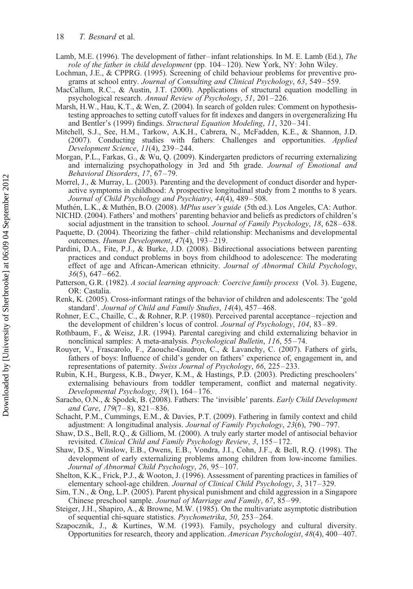- Lamb, M.E. (1996). The development of father–infant relationships. In M. E. Lamb (Ed.), The role of the father in child development (pp. 104–120). New York, NY: John Wiley.
- Lochman, J.E., & CPPRG. (1995). Screening of child behaviour problems for preventive programs at school entry. Journal of Consulting and Clinical Psychology, 63, 549–559.
- MacCallum, R.C., & Austin, J.T. (2000). Applications of structural equation modelling in psychological research. Annual Review of Psychology, 51, 201–226.
- Marsh, H.W., Hau, K.T., & Wen, Z. (2004). In search of golden rules: Comment on hypothesistesting approaches to setting cutoff values for fit indexes and dangers in overgeneralizing Hu and Bentler's (1999) findings. Structural Equation Modeling, 11, 320–341.
- Mitchell, S.J., See, H.M., Tarkow, A.K.H., Cabrera, N., McFadden, K.E., & Shannon, J.D. (2007). Conducting studies with fathers: Challenges and opportunities. Applied Development Science, 11(4), 239–244.
- Morgan, P.L., Farkas, G., & Wu, Q. (2009). Kindergarten predictors of recurring externalizing and internalizing psychopathology in 3rd and 5th grade. Journal of Emotional and Behavioral Disorders, 17, 67–79.
- Morrel, J., & Murray, L. (2003). Parenting and the development of conduct disorder and hyperactive symptoms in childhood: A prospective longitudinal study from 2 months to 8 years. Journal of Child Psychology and Psychiatry, 44(4), 489–508.
- Muthén, L.K., & Muthén, B.O. (2008). *MPlus user's guide* (5th ed.). Los Angeles, CA: Author.
- NICHD. (2004). Fathers' and mothers' parenting behavior and beliefs as predictors of children's social adjustment in the transition to school. Journal of Family Psychology, 18, 628–638.
- Paquette, D. (2004). Theorizing the father–child relationship: Mechanisms and developmental outcomes. Human Development, 47(4), 193–219.
- Pardini, D.A., Fite, P.J., & Burke, J.D. (2008). Bidirectional associations between parenting practices and conduct problems in boys from childhood to adolescence: The moderating effect of age and African-American ethnicity. Journal of Abnormal Child Psychology, 36(5), 647–662.
- Patterson, G.R. (1982). A social learning approach: Coercive family process (Vol. 3). Eugene, OR: Castalia.
- Renk, K. (2005). Cross-informant ratings of the behavior of children and adolescents: The 'gold standard'. Journal of Child and Family Studies, 14(4), 457–468.
- Rohner, E.C., Chaille, C., & Rohner, R.P. (1980). Perceived parental acceptance–rejection and the development of children's locus of control. Journal of Psychology, 104, 83–89.
- Rothbaum, F., & Weisz, J.R. (1994). Parental caregiving and child externalizing behavior in nonclinical samples: A meta-analysis. Psychological Bulletin, 116, 55–74.
- Rouyer, V., Frascarolo, F., Zaouche-Gaudron, C., & Lavanchy, C. (2007). Fathers of girls, fathers of boys: Influence of child's gender on fathers' experience of, engagement in, and representations of paternity. Swiss Journal of Psychology, 66, 225–233.
- Rubin, K.H., Burgess, K.B., Dwyer, K.M., & Hastings, P.D. (2003). Predicting preschoolers' externalising behaviours from toddler temperament, conflict and maternal negativity. Developmental Psychology, 39(1), 164–176.
- Saracho, O.N., & Spodek, B. (2008). Fathers: The 'invisible' parents. Early Child Development and Care, 179(7–8), 821–836.
- Schacht, P.M., Cummings, E.M., & Davies, P.T. (2009). Fathering in family context and child adjustment: A longitudinal analysis. Journal of Family Psychology, 23(6), 790–797.
- Shaw, D.S., Bell, R.Q., & Gilliom, M. (2000). A truly early starter model of antisocial behavior revisited. Clinical Child and Family Psychology Review, 3, 155–172.
- Shaw, D.S., Winslow, E.B., Owens, E.B., Vondra, J.I., Cohn, J.F., & Bell, R.Q. (1998). The development of early externalizing problems among children from low-income families. Journal of Abnormal Child Psychology, 26, 95–107.
- Shelton, K.K., Frick, P.J., & Wooton, J. (1996). Assessment of parenting practices in families of elementary school-age children. Journal of Clinical Child Psychology, 3, 317-329.
- Sim, T.N., & Ong, L.P. (2005). Parent physical punishment and child aggression in a Singapore Chinese preschool sample. Journal of Marriage and Family, 67, 85–99.
- Steiger, J.H., Shapiro, A., & Browne, M.W. (1985). On the multivariate asymptotic distribution of sequential chi-square statistics. Psychometrika, 50, 253–264.
- Szapocznik, J., & Kurtines, W.M. (1993). Family, psychology and cultural diversity. Opportunities for research, theory and application. American Psychologist, 48(4), 400–407.